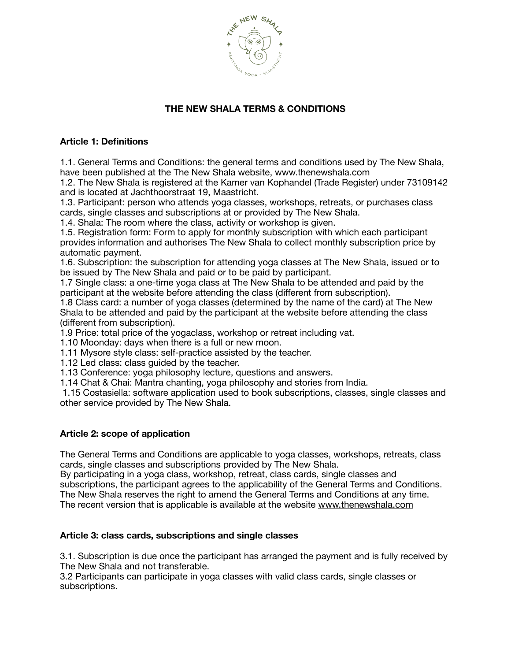

# **THE NEW SHALA TERMS & CONDITIONS**

## **Article 1: Definitions**

1.1. General Terms and Conditions: the general terms and conditions used by The New Shala, have been published at the The New Shala website, [www.thenewshala.com](http://www.thenewshala.com)

1.2. The New Shala is registered at the Kamer van Kophandel (Trade Register) under 73109142 and is located at Jachthoorstraat 19, Maastricht.

1.3. Participant: person who attends yoga classes, workshops, retreats, or purchases class cards, single classes and subscriptions at or provided by The New Shala.

1.4. Shala: The room where the class, activity or workshop is given.

1.5. Registration form: Form to apply for monthly subscription with which each participant provides information and authorises The New Shala to collect monthly subscription price by automatic payment.

1.6. Subscription: the subscription for attending yoga classes at The New Shala, issued or to be issued by The New Shala and paid or to be paid by participant.

1.7 Single class: a one-time yoga class at The New Shala to be attended and paid by the participant at the website before attending the class (different from subscription).

1.8 Class card: a number of yoga classes (determined by the name of the card) at The New Shala to be attended and paid by the participant at the website before attending the class (different from subscription).

1.9 Price: total price of the yogaclass, workshop or retreat including vat.

1.10 Moonday: days when there is a full or new moon.

1.11 Mysore style class: self-practice assisted by the teacher.

1.12 Led class: class guided by the teacher.

1.13 Conference: yoga philosophy lecture, questions and answers.

1.14 Chat & Chai: Mantra chanting, yoga philosophy and stories from India.

 1.15 Costasiella: software application used to book subscriptions, classes, single classes and other service provided by The New Shala.

## **Article 2: scope of application**

The General Terms and Conditions are applicable to yoga classes, workshops, retreats, class cards, single classes and subscriptions provided by The New Shala.

By participating in a yoga class, workshop, retreat, class cards, single classes and subscriptions, the participant agrees to the applicability of the General Terms and Conditions. The New Shala reserves the right to amend the General Terms and Conditions at any time. The recent version that is applicable is available at the website [www.thenewshala.com](http://www.thenewshala.com)

#### **Article 3: class cards, subscriptions and single classes**

3.1. Subscription is due once the participant has arranged the payment and is fully received by The New Shala and not transferable.

3.2 Participants can participate in yoga classes with valid class cards, single classes or subscriptions.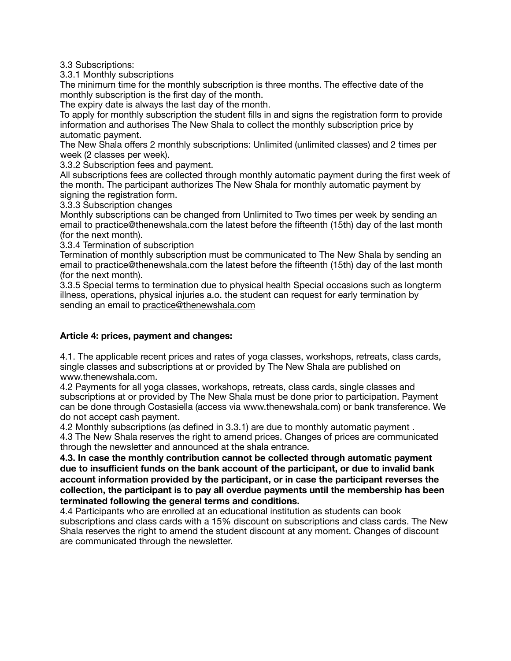3.3 Subscriptions:

3.3.1 Monthly subscriptions

The minimum time for the monthly subscription is three months. The effective date of the monthly subscription is the first day of the month.

The expiry date is always the last day of the month.

To apply for monthly subscription the student fills in and signs the registration form to provide information and authorises The New Shala to collect the monthly subscription price by automatic payment.

The New Shala offers 2 monthly subscriptions: Unlimited (unlimited classes) and 2 times per week (2 classes per week).

3.3.2 Subscription fees and payment.

All subscriptions fees are collected through monthly automatic payment during the first week of the month. The participant authorizes The New Shala for monthly automatic payment by signing the registration form.

3.3.3 Subscription changes

Monthly subscriptions can be changed from Unlimited to Two times per week by sending an email to practice@thenewshala.com the latest before the fifteenth (15th) day of the last month (for the next month).

3.3.4 Termination of subscription

Termination of monthly subscription must be communicated to The New Shala by sending an email to practice@thenewshala.com the latest before the fifteenth (15th) day of the last month (for the next month).

3.3.5 Special terms to termination due to physical health Special occasions such as longterm illness, operations, physical injuries a.o. the student can request for early termination by sending an email to [practice@thenewshala.com](mailto:practice@thenewshala.com)

## **Article 4: prices, payment and changes:**

4.1. The applicable recent prices and rates of yoga classes, workshops, retreats, class cards, single classes and subscriptions at or provided by The New Shala are published on www.thenewshala.com.

4.2 Payments for all yoga classes, workshops, retreats, class cards, single classes and subscriptions at or provided by The New Shala must be done prior to participation. Payment can be done through Costasiella (access via www.thenewshala.com) or bank transference. We do not accept cash payment.

4.2 Monthly subscriptions (as defined in 3.3.1) are due to monthly automatic payment . 4.3 The New Shala reserves the right to amend prices. Changes of prices are communicated through the newsletter and announced at the shala entrance.

**4.3. In case the monthly contribution cannot be collected through automatic payment due to insufficient funds on the bank account of the participant, or due to invalid bank account information provided by the participant, or in case the participant reverses the collection, the participant is to pay all overdue payments until the membership has been terminated following the general terms and conditions.** 

4.4 Participants who are enrolled at an educational institution as students can book subscriptions and class cards with a 15% discount on subscriptions and class cards. The New Shala reserves the right to amend the student discount at any moment. Changes of discount are communicated through the newsletter.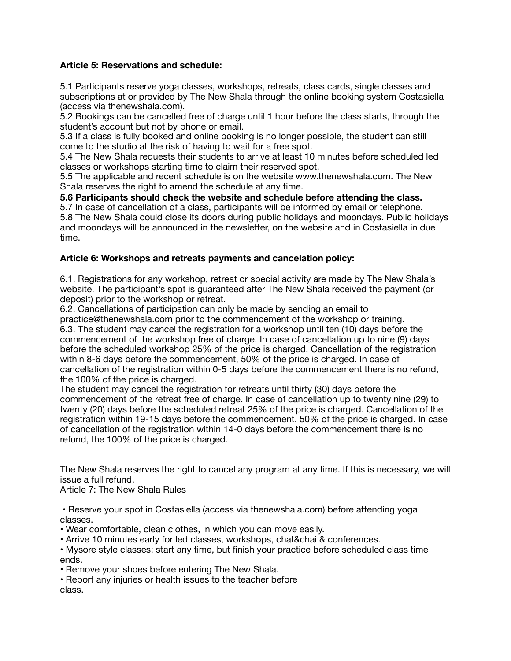## **Article 5: Reservations and schedule:**

5.1 Participants reserve yoga classes, workshops, retreats, class cards, single classes and subscriptions at or provided by The New Shala through the online booking system Costasiella (access via thenewshala.com).

5.2 Bookings can be cancelled free of charge until 1 hour before the class starts, through the student's account but not by phone or email.

5.3 If a class is fully booked and online booking is no longer possible, the student can still come to the studio at the risk of having to wait for a free spot.

5.4 The New Shala requests their students to arrive at least 10 minutes before scheduled led classes or workshops starting time to claim their reserved spot.

5.5 The applicable and recent schedule is on the website www.thenewshala.com. The New Shala reserves the right to amend the schedule at any time.

**5.6 Participants should check the website and schedule before attending the class.** 

5.7 In case of cancellation of a class, participants will be informed by email or telephone. 5.8 The New Shala could close its doors during public holidays and moondays. Public holidays and moondays will be announced in the newsletter, on the website and in Costasiella in due time.

#### **Article 6: Workshops and retreats payments and cancelation policy:**

6.1. Registrations for any workshop, retreat or special activity are made by The New Shala's website. The participant's spot is guaranteed after The New Shala received the payment (or deposit) prior to the workshop or retreat.

6.2. Cancellations of participation can only be made by sending an email to

practice@thenewshala.com prior to the commencement of the workshop or training. 6.3. The student may cancel the registration for a workshop until ten (10) days before the commencement of the workshop free of charge. In case of cancellation up to nine (9) days before the scheduled workshop 25% of the price is charged. Cancellation of the registration within 8-6 days before the commencement, 50% of the price is charged. In case of cancellation of the registration within 0-5 days before the commencement there is no refund, the 100% of the price is charged.

The student may cancel the registration for retreats until thirty (30) days before the commencement of the retreat free of charge. In case of cancellation up to twenty nine (29) to twenty (20) days before the scheduled retreat 25% of the price is charged. Cancellation of the registration within 19-15 days before the commencement, 50% of the price is charged. In case of cancellation of the registration within 14-0 days before the commencement there is no refund, the 100% of the price is charged.

The New Shala reserves the right to cancel any program at any time. If this is necessary, we will issue a full refund.

Article 7: The New Shala Rules

• Reserve your spot in Costasiella (access via thenewshala.com) before attending yoga classes.

- Wear comfortable, clean clothes, in which you can move easily.
- Arrive 10 minutes early for led classes, workshops, chat&chai & conferences.
- Mysore style classes: start any time, but finish your practice before scheduled class time ends.

• Remove your shoes before entering The New Shala.

• Report any injuries or health issues to the teacher before class.